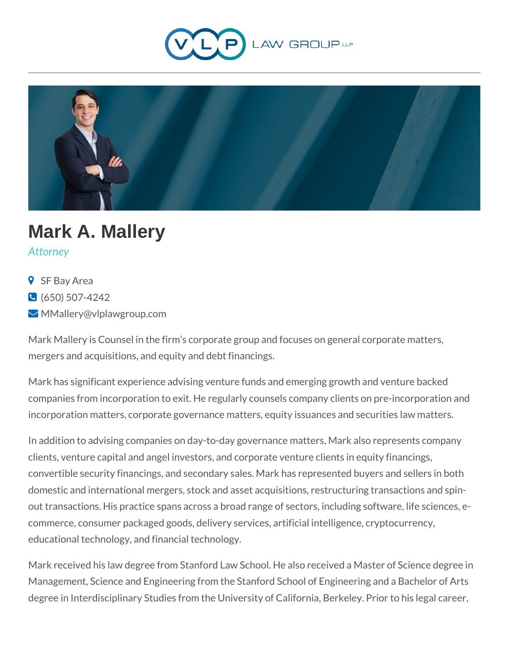



## **Mark A. Mallery**

*Attorney*

- **9** SF Bay Area
- $\bigodot$  (650) 507-4242
- MMallery@vlplawgroup.com

Mark Mallery is Counsel in the firm's corporate group and focuses on general corporate matters, mergers and acquisitions, and equity and debt financings.

Mark has significant experience advising venture funds and emerging growth and venture backed companies from incorporation to exit. He regularly counsels company clients on pre-incorporation and incorporation matters, corporate governance matters, equity issuances and securities law matters.

In addition to advising companies on day-to-day governance matters, Mark also represents company clients, venture capital and angel investors, and corporate venture clients in equity financings, convertible security financings, and secondary sales. Mark has represented buyers and sellers in both domestic and international mergers, stock and asset acquisitions, restructuring transactions and spinout transactions. His practice spans across a broad range of sectors, including software, life sciences, ecommerce, consumer packaged goods, delivery services, artificial intelligence, cryptocurrency, educational technology, and financial technology.

Mark received his law degree from Stanford Law School. He also received a Master of Science degree in Management, Science and Engineering from the Stanford School of Engineering and a Bachelor of Arts degree in Interdisciplinary Studies from the University of California, Berkeley. Prior to his legal career,